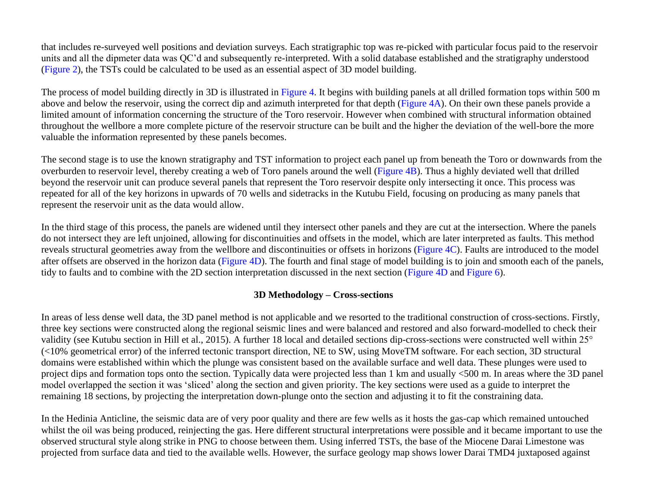that includes re-surveyed well positions and deviation surveys. Each stratigraphic top was re-picked with particular focus paid to the reservoir units and all the dipmeter data was QC'd and subsequently re-interpreted. With a solid database established and the stratigraphy understood [\(Figure 2\)](#page-6-0), the TSTs could be calculated to be used as an essential aspect of 3D model building.

The process of model building directly in 3D is illustrated in [Figure 4.](#page-8-0) It begins with building panels at all drilled formation tops within 500 m above and below the reservoir, using the correct dip and azimuth interpreted for that depth [\(Figure 4A](#page-8-0)). On their own these panels provide a limited amount of information concerning the structure of the Toro reservoir. However when combined with structural information obtained throughout the wellbore a more complete picture of the reservoir structure can be built and the higher the deviation of the well-bore the more valuable the information represented by these panels becomes.

The second stage is to use the known stratigraphy and TST information to project each panel up from beneath the Toro or downwards from the overburden to reservoir level, thereby creating a web of Toro panels around the well [\(Figure 4B](#page-8-0)). Thus a highly deviated well that drilled beyond the reservoir unit can produce several panels that represent the Toro reservoir despite only intersecting it once. This process was repeated for all of the key horizons in upwards of 70 wells and sidetracks in the Kutubu Field, focusing on producing as many panels that represent the reservoir unit as the data would allow.

In the third stage of this process, the panels are widened until they intersect other panels and they are cut at the intersection. Where the panels do not intersect they are left unjoined, allowing for discontinuities and offsets in the model, which are later interpreted as faults. This method reveals structural geometries away from the wellbore and discontinuities or offsets in horizons [\(Figure 4C\)](#page-8-0). Faults are introduced to the model after offsets are observed in the horizon data [\(Figure 4D](#page-8-0)). The fourth and final stage of model building is to join and smooth each of the panels, tidy to faults and to combine with the 2D section interpretation discussed in the next section [\(Figure 4D](#page-8-0) and [Figure 6\)](#page-10-0).

## **3D Methodology – Cross-sections**

In areas of less dense well data, the 3D panel method is not applicable and we resorted to the traditional construction of cross-sections. Firstly, three key sections were constructed along the regional seismic lines and were balanced and restored and also forward-modelled to check their validity (see Kutubu section in Hill et al., 2015). A further 18 local and detailed sections dip-cross-sections were constructed well within 25° (<10% geometrical error) of the inferred tectonic transport direction, NE to SW, using MoveTM software. For each section, 3D structural domains were established within which the plunge was consistent based on the available surface and well data. These plunges were used to project dips and formation tops onto the section. Typically data were projected less than 1 km and usually <500 m. In areas where the 3D panel model overlapped the section it was 'sliced' along the section and given priority. The key sections were used as a guide to interpret the remaining 18 sections, by projecting the interpretation down-plunge onto the section and adjusting it to fit the constraining data.

In the Hedinia Anticline, the seismic data are of very poor quality and there are few wells as it hosts the gas-cap which remained untouched whilst the oil was being produced, reinjecting the gas. Here different structural interpretations were possible and it became important to use the observed structural style along strike in PNG to choose between them. Using inferred TSTs, the base of the Miocene Darai Limestone was projected from surface data and tied to the available wells. However, the surface geology map shows lower Darai TMD4 juxtaposed against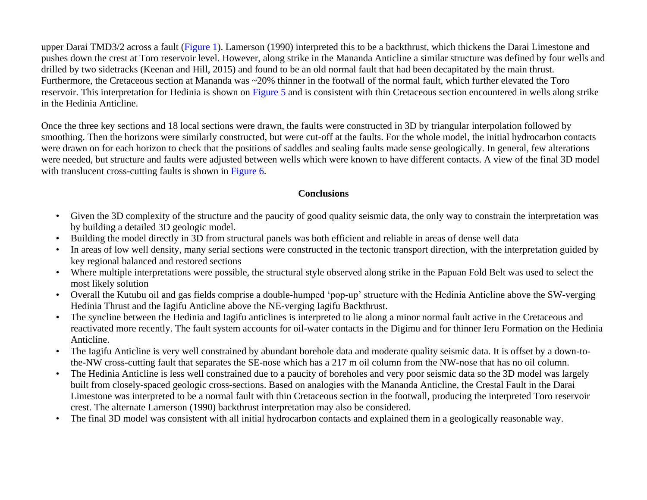upper Darai TMD3/2 across a fault [\(Figure 1\)](#page-5-0). Lamerson (1990) interpreted this to be a backthrust, which thickens the Darai Limestone and pushes down the crest at Toro reservoir level. However, along strike in the Mananda Anticline a similar structure was defined by four wells and drilled by two sidetracks (Keenan and Hill, 2015) and found to be an old normal fault that had been decapitated by the main thrust. Furthermore, the Cretaceous section at Mananda was ~20% thinner in the footwall of the normal fault, which further elevated the Toro reservoir. This interpretation for Hedinia is shown on [Figure 5](#page-9-0) and is consistent with thin Cretaceous section encountered in wells along strike in the Hedinia Anticline.

Once the three key sections and 18 local sections were drawn, the faults were constructed in 3D by triangular interpolation followed by smoothing. Then the horizons were similarly constructed, but were cut-off at the faults. For the whole model, the initial hydrocarbon contacts were drawn on for each horizon to check that the positions of saddles and sealing faults made sense geologically. In general, few alterations were needed, but structure and faults were adjusted between wells which were known to have different contacts. A view of the final 3D model with translucent cross-cutting faults is shown in [Figure 6.](#page-10-0)

## **Conclusions**

- Given the 3D complexity of the structure and the paucity of good quality seismic data, the only way to constrain the interpretation was by building a detailed 3D geologic model.
- Building the model directly in 3D from structural panels was both efficient and reliable in areas of dense well data
- In areas of low well density, many serial sections were constructed in the tectonic transport direction, with the interpretation guided by key regional balanced and restored sections
- Where multiple interpretations were possible, the structural style observed along strike in the Papuan Fold Belt was used to select the most likely solution
- Overall the Kutubu oil and gas fields comprise a double-humped 'pop-up' structure with the Hedinia Anticline above the SW-verging Hedinia Thrust and the Iagifu Anticline above the NE-verging Iagifu Backthrust.
- The syncline between the Hedinia and Iagifu anticlines is interpreted to lie along a minor normal fault active in the Cretaceous and reactivated more recently. The fault system accounts for oil-water contacts in the Digimu and for thinner Ieru Formation on the Hedinia Anticline.
- The Iagifu Anticline is very well constrained by abundant borehole data and moderate quality seismic data. It is offset by a down-tothe-NW cross-cutting fault that separates the SE-nose which has a 217 m oil column from the NW-nose that has no oil column.
- The Hedinia Anticline is less well constrained due to a paucity of boreholes and very poor seismic data so the 3D model was largely built from closely-spaced geologic cross-sections. Based on analogies with the Mananda Anticline, the Crestal Fault in the Darai Limestone was interpreted to be a normal fault with thin Cretaceous section in the footwall, producing the interpreted Toro reservoir crest. The alternate Lamerson (1990) backthrust interpretation may also be considered.
- The final 3D model was consistent with all initial hydrocarbon contacts and explained them in a geologically reasonable way.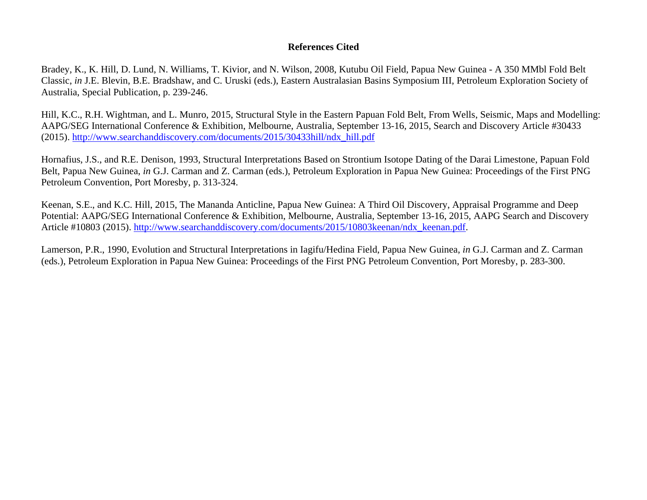## **References Cited**

Bradey, K., K. Hill, D. Lund, N. Williams, T. Kivior, and N. Wilson, 2008, Kutubu Oil Field, Papua New Guinea - A 350 MMbl Fold Belt Classic, *in* J.E. Blevin, B.E. Bradshaw, and C. Uruski (eds.), Eastern Australasian Basins Symposium III, Petroleum Exploration Society of Australia, Special Publication, p. 239-246.

Hill, K.C., R.H. Wightman, and L. Munro, 2015, Structural Style in the Eastern Papuan Fold Belt, From Wells, Seismic, Maps and Modelling: AAPG/SEG International Conference & Exhibition, Melbourne, Australia, September 13-16, 2015, Search and Discovery Article #30433 (2015). [http://www.searchanddiscovery.com/documents/2015/30433hill/ndx\\_hill.pdf](http://www.searchanddiscovery.com/documents/2015/30433hill/ndx_hill.pdf)

Hornafius, J.S., and R.E. Denison, 1993, Structural Interpretations Based on Strontium Isotope Dating of the Darai Limestone, Papuan Fold Belt, Papua New Guinea, *in* G.J. Carman and Z. Carman (eds.), Petroleum Exploration in Papua New Guinea: Proceedings of the First PNG Petroleum Convention, Port Moresby, p. 313-324.

Keenan, S.E., and K.C. Hill, 2015, The Mananda Anticline, Papua New Guinea: A Third Oil Discovery, Appraisal Programme and Deep Potential: AAPG/SEG International Conference & Exhibition, Melbourne, Australia, September 13-16, 2015, AAPG Search and Discovery Article #10803 (2015). [http://www.searchanddiscovery.com/documents/2015/10803keenan/ndx\\_keenan.pdf.](http://www.searchanddiscovery.com/documents/2015/10803keenan/ndx_keenan.pdf)

Lamerson, P.R., 1990, Evolution and Structural Interpretations in Iagifu/Hedina Field, Papua New Guinea, *in* G.J. Carman and Z. Carman (eds.), Petroleum Exploration in Papua New Guinea: Proceedings of the First PNG Petroleum Convention, Port Moresby, p. 283-300.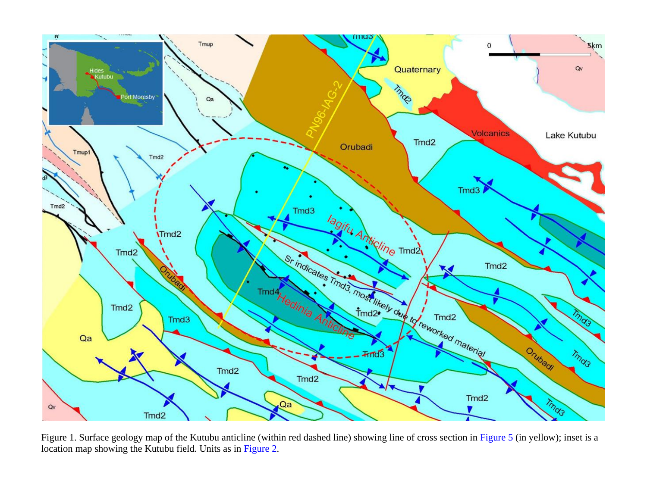<span id="page-5-0"></span>

Figure 1. Surface geology map of the Kutubu anticline (within red dashed line) showing line of cross section in [Figure 5](#page-9-0) (in yellow); inset is a location map showing the Kutubu field. Units as i[n Figure 2.](#page-6-0)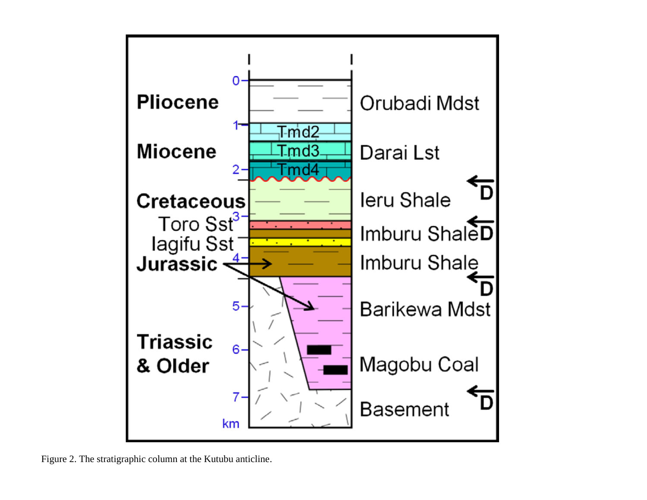<span id="page-6-0"></span>

Figure 2. The stratigraphic column at the Kutubu anticline.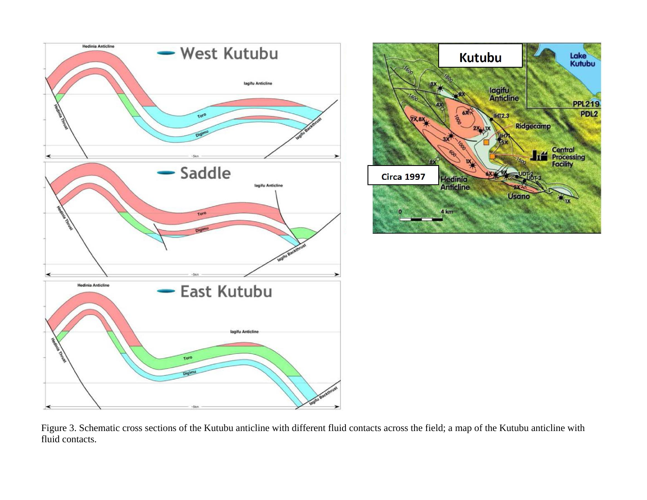



Figure 3. Schematic cross sections of the Kutubu anticline with different fluid contacts across the field; a map of the Kutubu anticline with fluid contacts.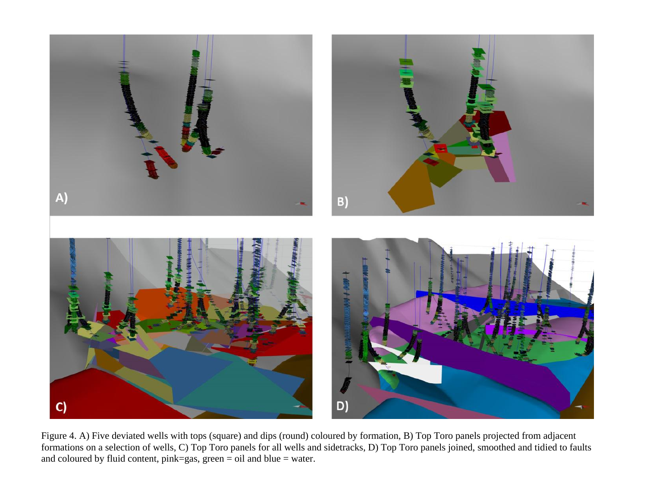<span id="page-8-0"></span>

Figure 4. A) Five deviated wells with tops (square) and dips (round) coloured by formation, B) Top Toro panels projected from adjacent formations on a selection of wells, C) Top Toro panels for all wells and sidetracks, D) Top Toro panels joined, smoothed and tidied to faults and coloured by fluid content,  $pink=gas$ ,  $green = oil$  and  $blue = water$ .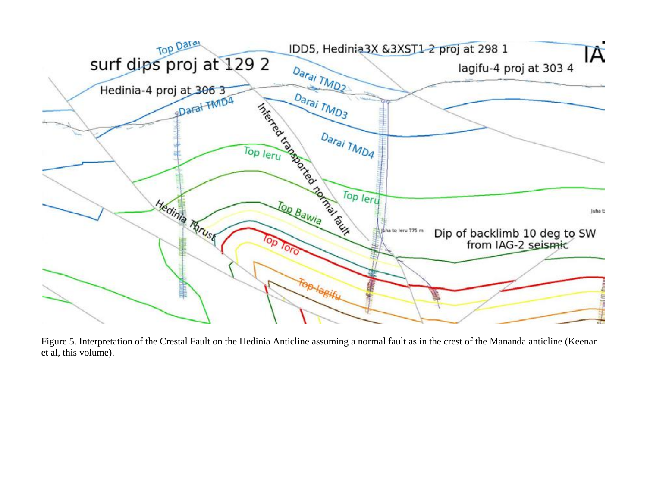<span id="page-9-0"></span>

Figure 5. Interpretation of the Crestal Fault on the Hedinia Anticline assuming a normal fault as in the crest of the Mananda anticline (Keenan et al, this volume).